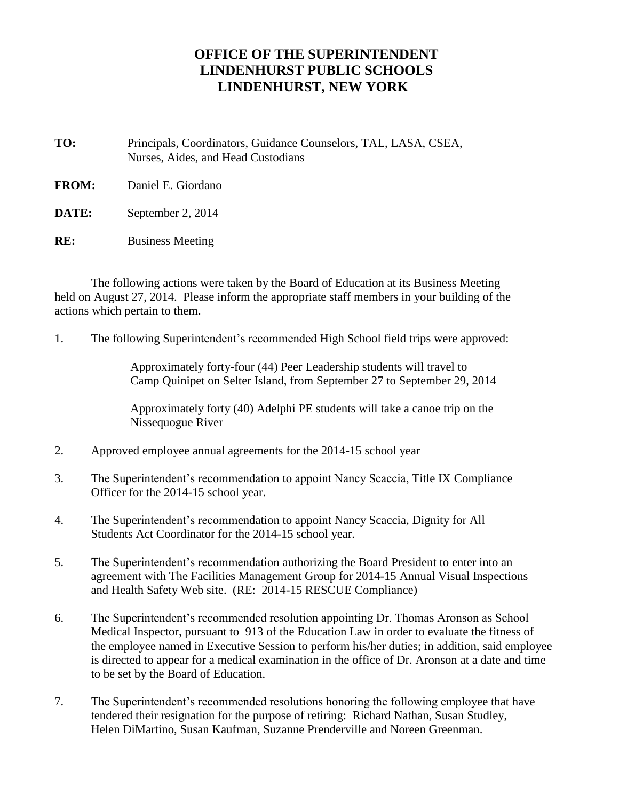## **OFFICE OF THE SUPERINTENDENT LINDENHURST PUBLIC SCHOOLS LINDENHURST, NEW YORK**

**TO:** Principals, Coordinators, Guidance Counselors, TAL, LASA, CSEA, Nurses, Aides, and Head Custodians

**FROM:** Daniel E. Giordano

**DATE:** September 2, 2014

**RE:** Business Meeting

The following actions were taken by the Board of Education at its Business Meeting held on August 27, 2014. Please inform the appropriate staff members in your building of the actions which pertain to them.

1. The following Superintendent's recommended High School field trips were approved:

Approximately forty-four (44) Peer Leadership students will travel to Camp Quinipet on Selter Island, from September 27 to September 29, 2014

Approximately forty (40) Adelphi PE students will take a canoe trip on the Nissequogue River

- 2. Approved employee annual agreements for the 2014-15 school year
- 3. The Superintendent's recommendation to appoint Nancy Scaccia, Title IX Compliance Officer for the 2014-15 school year.
- 4. The Superintendent's recommendation to appoint Nancy Scaccia, Dignity for All Students Act Coordinator for the 2014-15 school year.
- 5. The Superintendent's recommendation authorizing the Board President to enter into an agreement with The Facilities Management Group for 2014-15 Annual Visual Inspections and Health Safety Web site. (RE: 2014-15 RESCUE Compliance)
- 6. The Superintendent's recommended resolution appointing Dr. Thomas Aronson as School Medical Inspector, pursuant to 913 of the Education Law in order to evaluate the fitness of the employee named in Executive Session to perform his/her duties; in addition, said employee is directed to appear for a medical examination in the office of Dr. Aronson at a date and time to be set by the Board of Education.
- 7. The Superintendent's recommended resolutions honoring the following employee that have tendered their resignation for the purpose of retiring: Richard Nathan, Susan Studley, Helen DiMartino, Susan Kaufman, Suzanne Prenderville and Noreen Greenman.